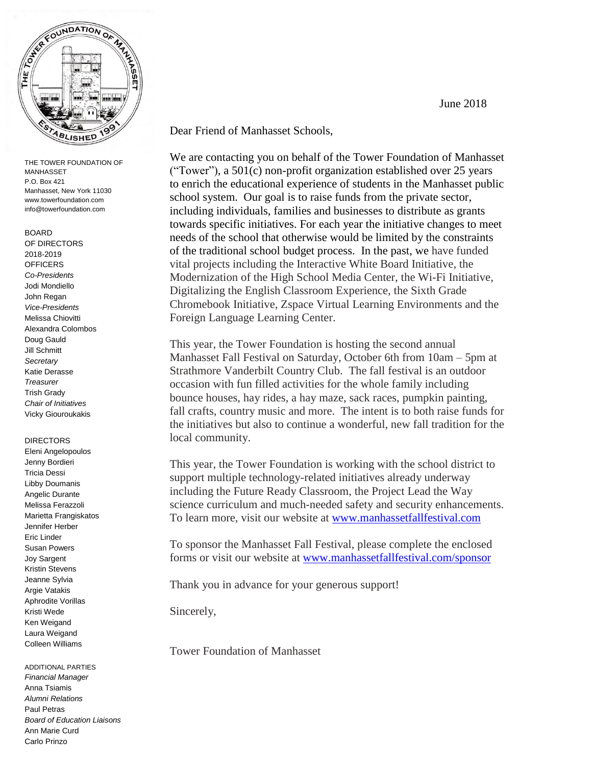

THE TOWER FOUNDATION OF MANHASSET P.O. Box 421 Manhasset, New York 11030 www.towerfoundation.com info@towerfoundation.com

## BOARD OF DIRECTORS 2018-2019 **OFFICERS** *Co-Presidents* Jodi Mondiello John Regan *Vice-Presidents* Melissa Chiovitti Alexandra Colombos Doug Gauld Jill Schmitt *Secretary* Katie Derasse *Treasurer* Trish Grady *Chair of Initiatives* Vicky Giouroukakis

#### DIRECTORS

Eleni Angelopoulos Jenny Bordieri Tricia Dessi Libby Doumanis Angelic Durante Melissa Ferazzoli Marietta Frangiskatos Jennifer Herber Eric Linder Susan Powers Joy Sargent Kristin Stevens Jeanne Sylvia Argie Vatakis Aphrodite Vorillas Kristi Wede Ken Weigand Laura Weigand Colleen Williams

ADDITIONAL PARTIES *Financial Manager* Anna Tsiamis *Alumni Relations* Paul Petras *Board of Education Liaisons* Ann Marie Curd Carlo Prinzo

Dear Friend of Manhasset Schools,

We are contacting you on behalf of the Tower Foundation of Manhasset ("Tower"), a 501(c) non-profit organization established over 25 years to enrich the educational experience of students in the Manhasset public school system. Our goal is to raise funds from the private sector, including individuals, families and businesses to distribute as grants towards specific initiatives. For each year the initiative changes to meet needs of the school that otherwise would be limited by the constraints of the traditional school budget process. In the past, we have funded vital projects including the Interactive White Board Initiative, the Modernization of the High School Media Center, the Wi-Fi Initiative, Digitalizing the English Classroom Experience, the Sixth Grade Chromebook Initiative, Zspace Virtual Learning Environments and the Foreign Language Learning Center.

This year, the Tower Foundation is hosting the second annual Manhasset Fall Festival on Saturday, October 6th from 10am – 5pm at Strathmore Vanderbilt Country Club. The fall festival is an outdoor occasion with fun filled activities for the whole family including bounce houses, hay rides, a hay maze, sack races, pumpkin painting, fall crafts, country music and more. The intent is to both raise funds for the initiatives but also to continue a wonderful, new fall tradition for the local community.

This year, the Tower Foundation is working with the school district to support multiple technology-related initiatives already underway including the Future Ready Classroom, the Project Lead the Way science curriculum and much-needed safety and security enhancements. To learn more, visit our website at [www.manhassetfallfestival.com](http://www.manhassetfallfestival.com/)

To sponsor the Manhasset Fall Festival, please complete the enclosed forms or visit our website at [www.manhassetfallfestival.com/sponsor](http://www.manhassetfallfestival.com/sponsor)

Thank you in advance for your generous support!

Sincerely,

Tower Foundation of Manhasset

June 2018